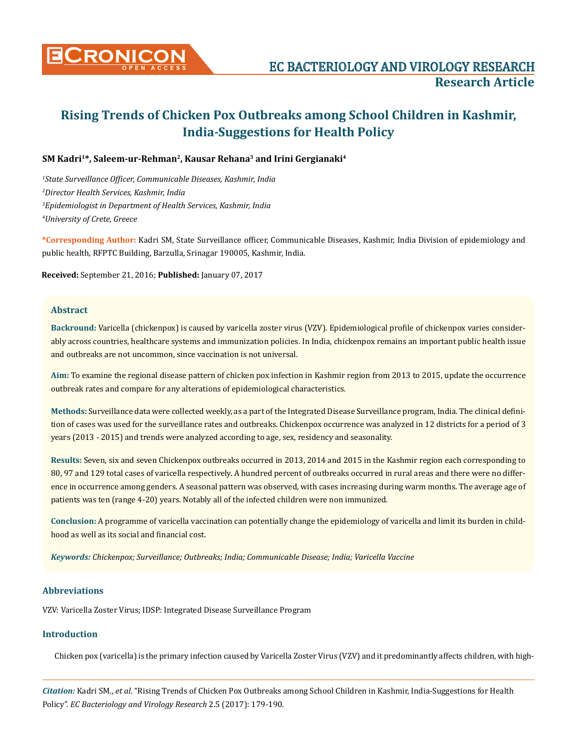

# **SM Kadri1\*, Saleem-ur-Rehman2, Kausar Rehana3 and Irini Gergianaki4**

 *State Surveillance Officer, Communicable Diseases, Kashmir, India Director Health Services, Kashmir, India Epidemiologist in Department of Health Services, Kashmir, India University of Crete, Greece*

**\*Corresponding Author:** Kadri SM, State Surveillance officer, Communicable Diseases, Kashmir, India Division of epidemiology and public health, RFPTC Building, Barzulla, Srinagar 190005, Kashmir, India.

**Received:** September 21, 2016; **Published:** January 07, 2017

## **Abstract**

**Backround:** Varicella (chickenpox) is caused by varicella zoster virus (VZV). Epidemiological profile of chickenpox varies considerably across countries, healthcare systems and immunization policies. In India, chickenpox remains an important public health issue and outbreaks are not uncommon, since vaccination is not universal.

**Aim:** To examine the regional disease pattern of chicken pox infection in Kashmir region from 2013 to 2015, update the occurrence outbreak rates and compare for any alterations of epidemiological characteristics.

**Methods:** Surveillance data were collected weekly, as a part of the Integrated Disease Surveillance program, India. The clinical definition of cases was used for the surveillance rates and outbreaks. Chickenpox occurrence was analyzed in 12 districts for a period of 3 years (2013 - 2015) and trends were analyzed according to age, sex, residency and seasonality.

**Results:** Seven, six and seven Chickenpox outbreaks occurred in 2013, 2014 and 2015 in the Kashmir region each corresponding to 80, 97 and 129 total cases of varicella respectively. A hundred percent of outbreaks occurred in rural areas and there were no difference in occurrence among genders. A seasonal pattern was observed, with cases increasing during warm months. The average age of patients was ten (range 4-20) years. Notably all of the infected children were non immunized.

**Conclusion:** A programme of varicella vaccination can potentially change the epidemiology of varicella and limit its burden in childhood as well as its social and financial cost.

*Keywords: Chickenpox; Surveillance; Outbreaks; India; Communicable Disease; India; Varicella Vaccine*

# **Abbreviations**

VZV: Varicella Zoster Virus; IDSP: Integrated Disease Surveillance Program

## **Introduction**

Chicken pox (varicella) is the primary infection caused by Varicella Zoster Virus (VZV) and it predominantly affects children, with high-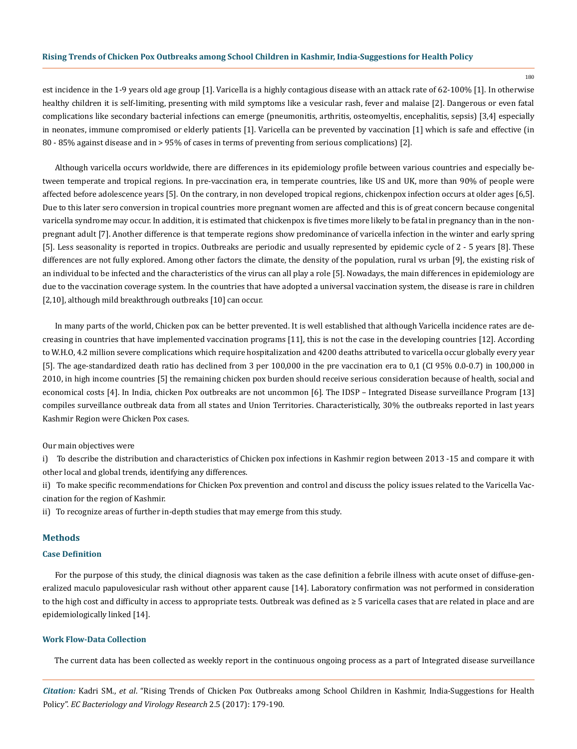est incidence in the 1-9 years old age group [1]. Varicella is a highly contagious disease with an attack rate of 62-100% [1]. In otherwise healthy children it is self-limiting, presenting with mild symptoms like a vesicular rash, fever and malaise [2]. Dangerous or even fatal complications like secondary bacterial infections can emerge (pneumonitis, arthritis, osteomyeltis, encephalitis, sepsis) [3,4] especially in neonates, immune compromised or elderly patients [1]. Varicella can be prevented by vaccination [1] which is safe and effective (in 80 - 85% against disease and in > 95% of cases in terms of preventing from serious complications) [2].

Although varicella occurs worldwide, there are differences in its epidemiology profile between various countries and especially between temperate and tropical regions. In pre-vaccination era, in temperate countries, like US and UK, more than 90% of people were affected before adolescence years [5]. On the contrary, in non developed tropical regions, chickenpox infection occurs at older ages [6,5]. Due to this later sero conversion in tropical countries more pregnant women are affected and this is of great concern because congenital varicella syndrome may occur. In addition, it is estimated that chickenpox is five times more likely to be fatal in pregnancy than in the nonpregnant adult [7]. Another difference is that temperate regions show predominance of varicella infection in the winter and early spring [5]. Less seasonality is reported in tropics. Outbreaks are periodic and usually represented by epidemic cycle of 2 - 5 years [8]. These differences are not fully explored. Among other factors the climate, the density of the population, rural vs urban [9], the existing risk of an individual to be infected and the characteristics of the virus can all play a role [5]. Nowadays, the main differences in epidemiology are due to the vaccination coverage system. In the countries that have adopted a universal vaccination system, the disease is rare in children [2,10], although mild breakthrough outbreaks [10] can occur.

In many parts of the world, Chicken pox can be better prevented. It is well established that although Varicella incidence rates are decreasing in countries that have implemented vaccination programs [11], this is not the case in the developing countries [12]. According to W.H.O, 4.2 million severe complications which require hospitalization and 4200 deaths attributed to varicella occur globally every year [5]. The age-standardized death ratio has declined from 3 per 100,000 in the pre vaccination era to 0,1 (CI 95% 0.0-0.7) in 100,000 in 2010, in high income countries [5] the remaining chicken pox burden should receive serious consideration because of health, social and economical costs [4]. In India, chicken Pox outbreaks are not uncommon [6]. The IDSP – Integrated Disease surveillance Program [13] compiles surveillance outbreak data from all states and Union Territories. Characteristically, 30% the outbreaks reported in last years Kashmir Region were Chicken Pox cases.

#### Our main objectives were

i) To describe the distribution and characteristics of Chicken pox infections in Kashmir region between 2013 -15 and compare it with other local and global trends, identifying any differences.

ii) To make specific recommendations for Chicken Pox prevention and control and discuss the policy issues related to the Varicella Vaccination for the region of Kashmir.

ii) To recognize areas of further in-depth studies that may emerge from this study.

## **Methods**

#### **Case Definition**

For the purpose of this study, the clinical diagnosis was taken as the case definition a febrile illness with acute onset of diffuse-generalized maculo papulovesicular rash without other apparent cause [14]. Laboratory confirmation was not performed in consideration to the high cost and difficulty in access to appropriate tests. Outbreak was defined as ≥ 5 varicella cases that are related in place and are epidemiologically linked [14].

#### **Work Flow-Data Collection**

The current data has been collected as weekly report in the continuous ongoing process as a part of Integrated disease surveillance

*Citation:* Kadri SM., *et al*. "Rising Trends of Chicken Pox Outbreaks among School Children in Kashmir, India-Suggestions for Health Policy". *EC Bacteriology and Virology Research* 2.5 (2017): 179-190.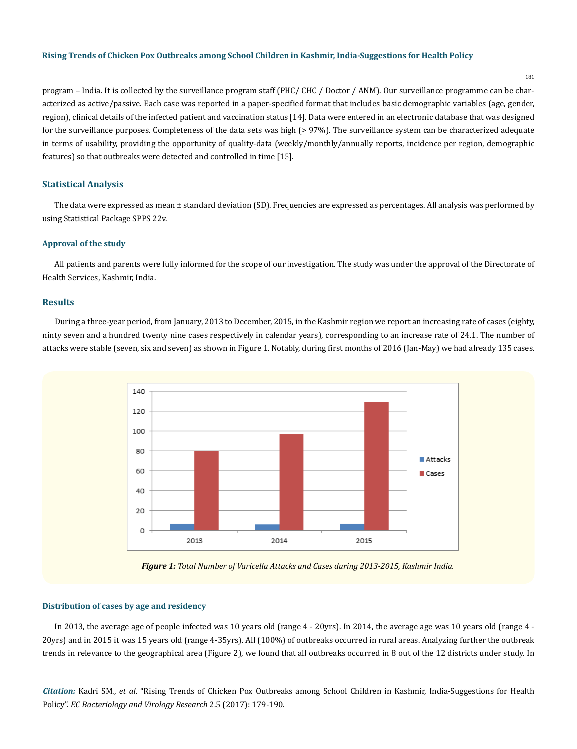181

program – India. It is collected by the surveillance program staff (PHC/ CHC / Doctor / ANM). Our surveillance programme can be characterized as active/passive. Each case was reported in a paper-specified format that includes basic demographic variables (age, gender, region), clinical details of the infected patient and vaccination status [14]. Data were entered in an electronic database that was designed for the surveillance purposes. Completeness of the data sets was high (>97%). The surveillance system can be characterized adequate in terms of usability, providing the opportunity of quality-data (weekly/monthly/annually reports, incidence per region, demographic features) so that outbreaks were detected and controlled in time [15].

## **Statistical Analysis**

The data were expressed as mean ± standard deviation (SD). Frequencies are expressed as percentages. All analysis was performed by using Statistical Package SPPS 22v.

## **Approval of the study**

All patients and parents were fully informed for the scope of our investigation. The study was under the approval of the Directorate of Health Services, Kashmir, India.

#### **Results**

During a three-year period, from January, 2013 to December, 2015, in the Kashmir region we report an increasing rate of cases (eighty, ninty seven and a hundred twenty nine cases respectively in calendar years), corresponding to an increase rate of 24.1. The number of attacks were stable (seven, six and seven) as shown in Figure 1. Notably, during first months of 2016 (Jan-May) we had already 135 cases.



*Figure 1: Total Number of Varicella Attacks and Cases during 2013-2015, Kashmir India.*

#### **Distribution of cases by age and residency**

In 2013, the average age of people infected was 10 years old (range 4 - 20yrs). In 2014, the average age was 10 years old (range 4 - 20yrs) and in 2015 it was 15 years old (range 4-35yrs). All (100%) of outbreaks occurred in rural areas. Analyzing further the outbreak trends in relevance to the geographical area (Figure 2), we found that all outbreaks occurred in 8 out of the 12 districts under study. In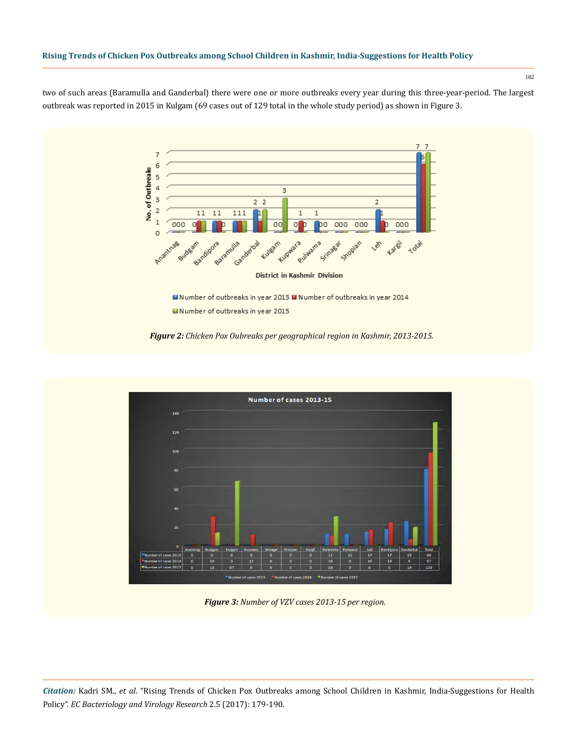two of such areas (Baramulla and Ganderbal) there were one or more outbreaks every year during this three-year-period. The largest outbreak was reported in 2015 in Kulgam (69 cases out of 129 total in the whole study period) as shown in Figure 3.



Mumber of outbreaks in year 2013 Mumber of outbreaks in year 2014 Number of outbreaks in year 2015

*Figure 2: Chicken Pox Oubreaks per geographical region in Kashmir, 2013-2015.*



*Figure 3: Number of VZV cases 2013-15 per region.*

*Citation:* Kadri SM., *et al*. "Rising Trends of Chicken Pox Outbreaks among School Children in Kashmir, India-Suggestions for Health Policy". *EC Bacteriology and Virology Research* 2.5 (2017): 179-190.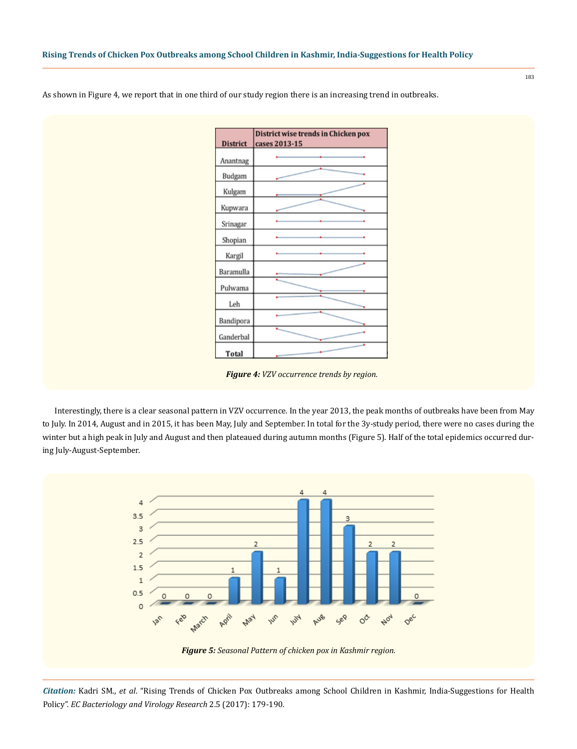District wise trends in Chicken pox **District** cases 2013-15 Anantnag Budgam Kulgam Kupwara Srinagar Shopian Kargil Baramulla Pulwama Leh Bandipora Ganderbal Total

As shown in Figure 4, we report that in one third of our study region there is an increasing trend in outbreaks.

*Figure 4: VZV occurrence trends by region.*

Interestingly, there is a clear seasonal pattern in VZV occurrence. In the year 2013, the peak months of outbreaks have been from May to July. In 2014, August and in 2015, it has been May, July and September. In total for the 3y-study period, there were no cases during the winter but a high peak in July and August and then plateaued during autumn months (Figure 5). Half of the total epidemics occurred during July-August-September.

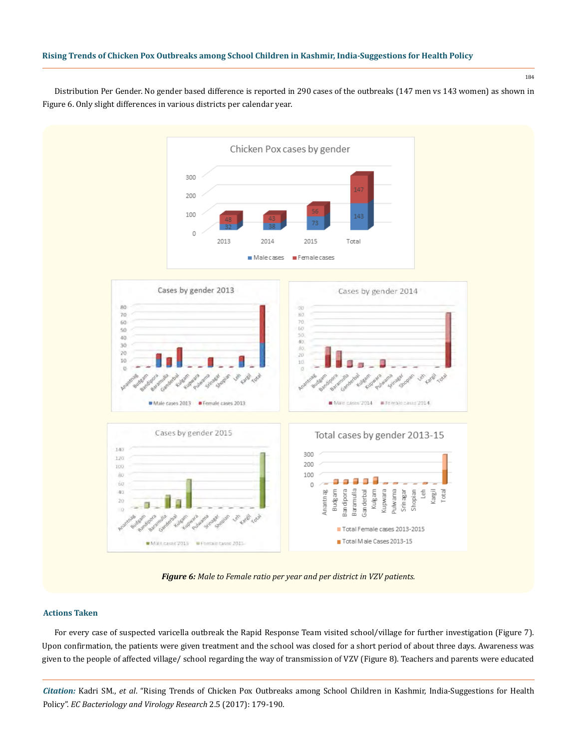184

Distribution Per Gender. No gender based difference is reported in 290 cases of the outbreaks (147 men vs 143 women) as shown in Figure 6. Only slight differences in various districts per calendar year.



*Figure 6: Male to Female ratio per year and per district in VZV patients.*

## **Actions Taken**

For every case of suspected varicella outbreak the Rapid Response Team visited school/village for further investigation (Figure 7). Upon confirmation, the patients were given treatment and the school was closed for a short period of about three days. Awareness was given to the people of affected village/ school regarding the way of transmission of VZV (Figure 8). Teachers and parents were educated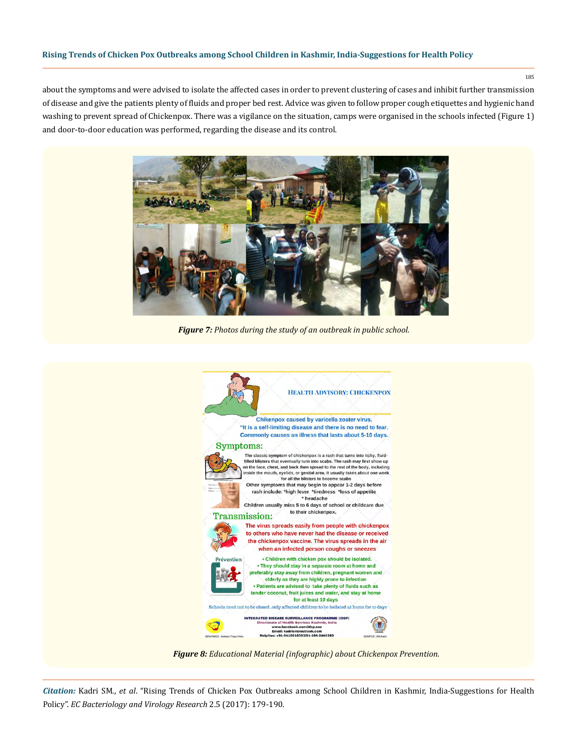about the symptoms and were advised to isolate the affected cases in order to prevent clustering of cases and inhibit further transmission of disease and give the patients plenty of fluids and proper bed rest. Advice was given to follow proper cough etiquettes and hygienic hand washing to prevent spread of Chickenpox. There was a vigilance on the situation, camps were organised in the schools infected (Figure 1) and door-to-door education was performed, regarding the disease and its control.



*Figure 7: Photos during the study of an outbreak in public school.*



*Figure 8: Educational Material (infographic) about Chickenpox Prevention.*

*Citation:* Kadri SM., *et al*. "Rising Trends of Chicken Pox Outbreaks among School Children in Kashmir, India-Suggestions for Health Policy". *EC Bacteriology and Virology Research* 2.5 (2017): 179-190.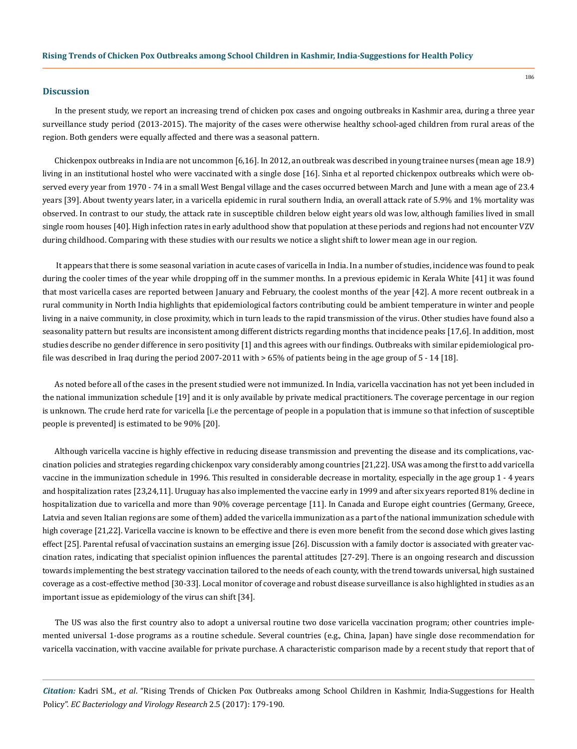#### **Discussion**

In the present study, we report an increasing trend of chicken pox cases and ongoing outbreaks in Kashmir area, during a three year surveillance study period (2013-2015). The majority of the cases were otherwise healthy school-aged children from rural areas of the region. Both genders were equally affected and there was a seasonal pattern.

Chickenpox outbreaks in India are not uncommon [6,16]. In 2012, an outbreak was described in young trainee nurses (mean age 18.9) living in an institutional hostel who were vaccinated with a single dose [16]. Sinha et al reported chickenpox outbreaks which were observed every year from 1970 - 74 in a small West Bengal village and the cases occurred between March and June with a mean age of 23.4 years [39]. About twenty years later, in a varicella epidemic in rural southern India, an overall attack rate of 5.9% and 1% mortality was observed. In contrast to our study, the attack rate in susceptible children below eight years old was low, although families lived in small single room houses [40]. High infection rates in early adulthood show that population at these periods and regions had not encounter VZV during childhood. Comparing with these studies with our results we notice a slight shift to lower mean age in our region.

 It appears that there is some seasonal variation in acute cases of varicella in India. In a number of studies, incidence was found to peak during the cooler times of the year while dropping off in the summer months. In a previous epidemic in Kerala White [41] it was found that most varicella cases are reported between January and February, the coolest months of the year [42]. A more recent outbreak in a rural community in North India highlights that epidemiological factors contributing could be ambient temperature in winter and people living in a naive community, in close proximity, which in turn leads to the rapid transmission of the virus. Other studies have found also a seasonality pattern but results are inconsistent among different districts regarding months that incidence peaks [17,6]. In addition, most studies describe no gender difference in sero positivity [1] and this agrees with our findings. Outbreaks with similar epidemiological profile was described in Iraq during the period 2007-2011 with > 65% of patients being in the age group of 5 - 14 [18].

As noted before all of the cases in the present studied were not immunized. In India, varicella vaccination has not yet been included in the national immunization schedule [19] and it is only available by private medical practitioners. The coverage percentage in our region is unknown. The crude herd rate for varicella [i.e the percentage of people in a population that is immune so that infection of susceptible people is prevented] is estimated to be 90% [20].

Although varicella vaccine is highly effective in reducing disease transmission and preventing the disease and its complications, vaccination policies and strategies regarding chickenpox vary considerably among countries [21,22]. USA was among the first to add varicella vaccine in the immunization schedule in 1996. This resulted in considerable decrease in mortality, especially in the age group 1 - 4 years and hospitalization rates [23,24,11]. Uruguay has also implemented the vaccine early in 1999 and after six years reported 81% decline in hospitalization due to varicella and more than 90% coverage percentage [11]. In Canada and Europe eight countries (Germany, Greece, Latvia and seven Italian regions are some of them) added the varicella immunization as a part of the national immunization schedule with high coverage [21,22]. Varicella vaccine is known to be effective and there is even more benefit from the second dose which gives lasting effect [25]. Parental refusal of vaccination sustains an emerging issue [26]. Discussion with a family doctor is associated with greater vaccination rates, indicating that specialist opinion influences the parental attitudes [27-29]. There is an ongoing research and discussion towards implementing the best strategy vaccination tailored to the needs of each county, with the trend towards universal, high sustained coverage as a cost-effective method [30-33]. Local monitor of coverage and robust disease surveillance is also highlighted in studies as an important issue as epidemiology of the virus can shift [34].

The US was also the first country also to adopt a universal routine two dose varicella vaccination program; other countries implemented universal 1-dose programs as a routine schedule. Several countries (e.g., China, Japan) have single dose recommendation for varicella vaccination, with vaccine available for private purchase. A characteristic comparison made by a recent study that report that of

*Citation:* Kadri SM., *et al*. "Rising Trends of Chicken Pox Outbreaks among School Children in Kashmir, India-Suggestions for Health Policy". *EC Bacteriology and Virology Research* 2.5 (2017): 179-190.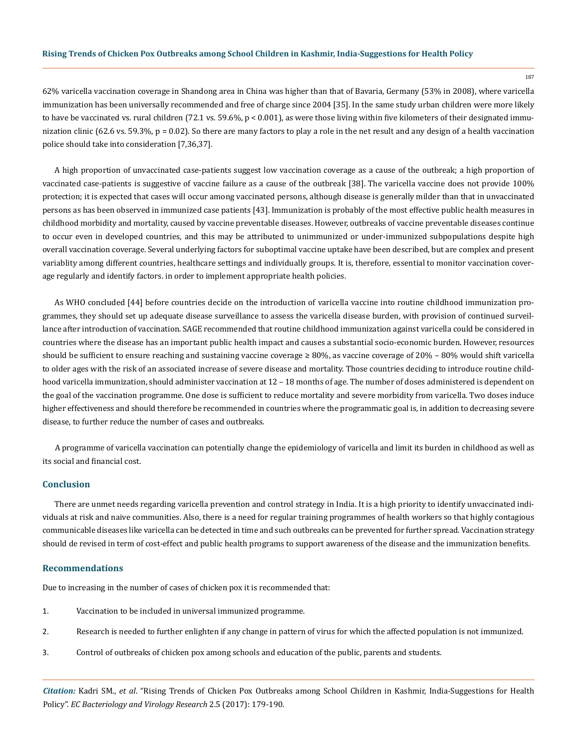62% varicella vaccination coverage in Shandong area in China was higher than that of Bavaria, Germany (53% in 2008), where varicella immunization has been universally recommended and free of charge since 2004 [35]. In the same study urban children were more likely to have be vaccinated vs. rural children (72.1 vs. 59.6%,  $p < 0.001$ ), as were those living within five kilometers of their designated immunization clinic (62.6 vs. 59.3%, p = 0.02). So there are many factors to play a role in the net result and any design of a health vaccination police should take into consideration [7,36,37].

A high proportion of unvaccinated case-patients suggest low vaccination coverage as a cause of the outbreak; a high proportion of vaccinated case-patients is suggestive of vaccine failure as a cause of the outbreak [38]. The varicella vaccine does not provide 100% protection; it is expected that cases will occur among vaccinated persons, although disease is generally milder than that in unvaccinated persons as has been observed in immunized case patients [43]. Immunization is probably of the most effective public health measures in childhood morbidity and mortality, caused by vaccine preventable diseases. However, outbreaks of vaccine preventable diseases continue to occur even in developed countries, and this may be attributed to unimmunized or under-immunized subpopulations despite high overall vaccination coverage. Several underlying factors for suboptimal vaccine uptake have been described, but are complex and present variablity among different countries, healthcare settings and individually groups. It is, therefore, essential to monitor vaccination coverage regularly and identify factors. in order to implement appropriate health policies.

As WHO concluded [44] before countries decide on the introduction of varicella vaccine into routine childhood immunization programmes, they should set up adequate disease surveillance to assess the varicella disease burden, with provision of continued surveillance after introduction of vaccination. SAGE recommended that routine childhood immunization against varicella could be considered in countries where the disease has an important public health impact and causes a substantial socio-economic burden. However, resources should be sufficient to ensure reaching and sustaining vaccine coverage ≥ 80%, as vaccine coverage of 20% – 80% would shift varicella to older ages with the risk of an associated increase of severe disease and mortality. Those countries deciding to introduce routine childhood varicella immunization, should administer vaccination at 12 – 18 months of age. The number of doses administered is dependent on the goal of the vaccination programme. One dose is sufficient to reduce mortality and severe morbidity from varicella. Two doses induce higher effectiveness and should therefore be recommended in countries where the programmatic goal is, in addition to decreasing severe disease, to further reduce the number of cases and outbreaks.

A programme of varicella vaccination can potentially change the epidemiology of varicella and limit its burden in childhood as well as its social and financial cost.

# **Conclusion**

There are unmet needs regarding varicella prevention and control strategy in India. It is a high priority to identify unvaccinated individuals at risk and naive communities. Also, there is a need for regular training programmes of health workers so that highly contagious communicable diseases like varicella can be detected in time and such outbreaks can be prevented for further spread. Vaccination strategy should de revised in term of cost-effect and public health programs to support awareness of the disease and the immunization benefits.

#### **Recommendations**

Due to increasing in the number of cases of chicken pox it is recommended that:

- 1. Vaccination to be included in universal immunized programme.
- 2. Research is needed to further enlighten if any change in pattern of virus for which the affected population is not immunized.
- 3. Control of outbreaks of chicken pox among schools and education of the public, parents and students.

*Citation:* Kadri SM., *et al*. "Rising Trends of Chicken Pox Outbreaks among School Children in Kashmir, India-Suggestions for Health Policy". *EC Bacteriology and Virology Research* 2.5 (2017): 179-190.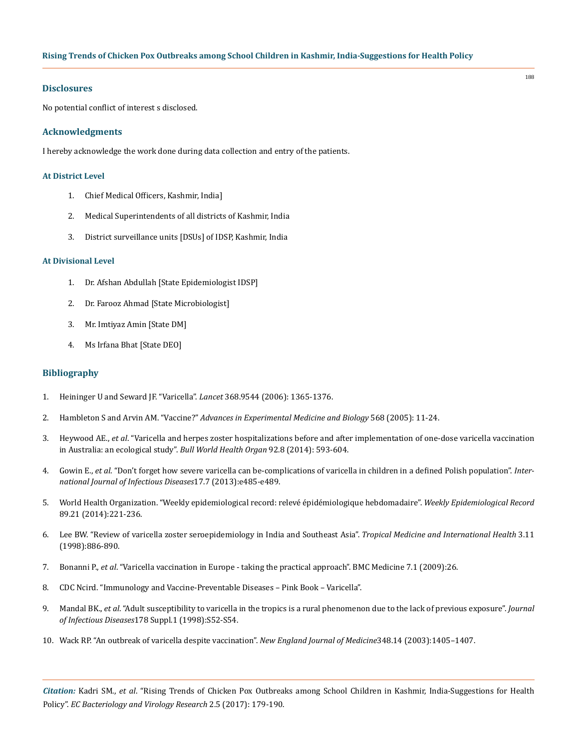#### **Disclosures**

No potential conflict of interest s disclosed.

# **Acknowledgments**

I hereby acknowledge the work done during data collection and entry of the patients.

#### **At District Level**

- 1. Chief Medical Officers, Kashmir, India]
- 2. Medical Superintendents of all districts of Kashmir, India
- 3. District surveillance units [DSUs] of IDSP, Kashmir, India

#### **At Divisional Level**

- 1. Dr. Afshan Abdullah [State Epidemiologist IDSP]
- 2. Dr. Farooz Ahmad [State Microbiologist]
- 3. Mr. Imtiyaz Amin [State DM]
- 4. Ms Irfana Bhat [State DEO]

# **Bibliography**

- 1. [Heininger U and Seward JF. "Varicella".](http://www.thelancet.com/journals/lancet/article/PIIS0140673606695615/abstract) *Lancet* 368.9544 (2006): 1365-1376.
- 2. Hambleton S and Arvin AM. "Vaccine?" *[Advances in Experimental Medicine and Biology](https://www.ncbi.nlm.nih.gov/pubmed/16107063)* 568 (2005): 11-24.
- 3. Heywood AE., *et al*[. "Varicella and herpes zoster hospitalizations before and after implementation of one-dose varicella vaccination](http://www.healthinfonet.ecu.edu.au/key-resources/bibliography/?lid=28299) [in Australia: an ecological study".](http://www.healthinfonet.ecu.edu.au/key-resources/bibliography/?lid=28299) *Bull World Health Organ* 92.8 (2014): 593-604.
- 4. Gowin E., *et al*[. "Don't forget how severe varicella can be-complications of varicella in children in a defined Polish population".](https://www.ncbi.nlm.nih.gov/pubmed/23352485) *Inter[national Journal of Infectious Diseases](https://www.ncbi.nlm.nih.gov/pubmed/23352485)*17.7 (2013):e485-e489.
- 5. World Health Organization. "Weekly epidemiological record: relevé épidémiologique hebdomadaire". *Weekly Epidemiological Record*  89.21 (2014):221-236.
- 6. [Lee BW. "Review of varicella zoster seroepidemiology in India and Southeast Asia".](https://www.ncbi.nlm.nih.gov/pubmed/9855401) *Tropical Medicine and International Health* 3.11 [\(1998\):886-890.](https://www.ncbi.nlm.nih.gov/pubmed/9855401)
- 7. Bonanni P., *et al*[. "Varicella vaccination in Europe taking the practical approach". BMC Medicine 7.1 \(2009\):26.](https://www.ncbi.nlm.nih.gov/pubmed/19476611)
- 8. CDC Ncird. "Immunology and Vaccine-Preventable Diseases Pink Book Varicella".
- 9. Mandal BK., *et al*[. "Adult susceptibility to varicella in the tropics is a rural phenomenon due to the lack of previous exposure".](https://www.ncbi.nlm.nih.gov/pubmed/9852974) *Journal of Infectious Diseases*[178 Suppl.1 \(1998\):S52-S54.](https://www.ncbi.nlm.nih.gov/pubmed/9852974)
- 10. [Wack RP. "An outbreak of varicella despite vaccination".](https://www.ncbi.nlm.nih.gov/pubmed/12678025) *New England Journal of Medicine*348.14 (2003):1405–1407.

*Citation:* Kadri SM., *et al*. "Rising Trends of Chicken Pox Outbreaks among School Children in Kashmir, India-Suggestions for Health Policy". *EC Bacteriology and Virology Research* 2.5 (2017): 179-190.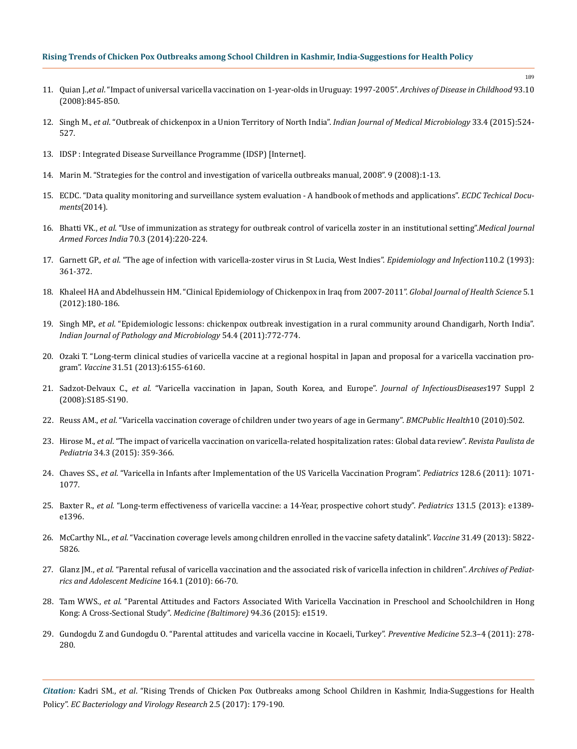- 11. Quian J.,*et al*[. "Impact of universal varicella vaccination on 1-year-olds in Uruguay: 1997-2005".](https://www.ncbi.nlm.nih.gov/pubmed/18456699) *Archives of Disease in Childhood* 93.10 [\(2008\):845-850.](https://www.ncbi.nlm.nih.gov/pubmed/18456699)
- 12. Singh M., *et al*[. "Outbreak of chickenpox in a Union Territory of North India".](https://www.ncbi.nlm.nih.gov/pubmed/26470958) *Indian Journal of Medical Microbiology* 33.4 (2015):524- [527.](https://www.ncbi.nlm.nih.gov/pubmed/26470958)
- 13. [IDSP : Integrated Disease Surveillance Programme \(IDSP\) \[Internet\].](http://idsp.nic.in/index4.php?lang=1&level=0&linkid=313&lid=1592)
- 14. Marin M. "Strategies for the control and investigation of varicella outbreaks manual, 2008". 9 (2008):1-13.
- 15. [ECDC. "Data quality monitoring and surveillance system evaluation A handbook of methods and applications".](http://ecdc.europa.eu/en/publications/_layouts/forms/Publication_DispForm.aspx?List=4f55ad51-4aed-4d32-b960-af70113dbb90&ID=1171) *ECDC Techical Documents*[\(2014\).](http://ecdc.europa.eu/en/publications/_layouts/forms/Publication_DispForm.aspx?List=4f55ad51-4aed-4d32-b960-af70113dbb90&ID=1171)
- 16. Bhatti VK., *et al*[. "Use of immunization as strategy for outbreak control of varicella zoster in an institutional setting".](https://www.ncbi.nlm.nih.gov/pubmed/25378773)*Medical Journal Armed Forces India* [70.3 \(2014\):220-224.](https://www.ncbi.nlm.nih.gov/pubmed/25378773)
- 17. Garnett GP., *et al*[. "The age of infection with varicella-zoster virus in St Lucia, West Indies".](https://www.ncbi.nlm.nih.gov/pubmed/8386097) *Epidemiology and Infection*110.2 (1993): [361-372.](https://www.ncbi.nlm.nih.gov/pubmed/8386097)
- 18. [Khaleel HA and Abdelhussein HM. "Clinical Epidemiology of Chickenpox in Iraq from 2007-2011".](https://www.ncbi.nlm.nih.gov/pubmed/23283051) *Global Journal of Health Science* 5.1 [\(2012\):180-186.](https://www.ncbi.nlm.nih.gov/pubmed/23283051)
- 19. Singh MP., *et al*[. "Epidemiologic lessons: chickenpox outbreak investigation in a rural community around Chandigarh, North India".](https://www.ncbi.nlm.nih.gov/pubmed/22234108) *[Indian Journal of Pathology and Microbiology](https://www.ncbi.nlm.nih.gov/pubmed/22234108)* 54.4 (2011):772-774.
- 20. [Ozaki T. "Long-term clinical studies of varicella vaccine at a regional hospital in Japan and proposal for a varicella vaccination pro](https://www.ncbi.nlm.nih.gov/pubmed/24183712)gram". *Vaccine* [31.51 \(2013\):6155-6160.](https://www.ncbi.nlm.nih.gov/pubmed/24183712)
- 21. Sadzot-Delvaux C., *et al*[. "Varicella vaccination in Japan, South Korea, and Europe".](https://www.ncbi.nlm.nih.gov/pubmed/18419395) *Journal of InfectiousDiseases*197 Suppl 2 [\(2008\):S185-S190.](https://www.ncbi.nlm.nih.gov/pubmed/18419395)
- 22. Reuss AM., *et al*[. "Varicella vaccination coverage of children under two years of age in Germany".](https://www.ncbi.nlm.nih.gov/pubmed/20723217) *BMCPublic Health*10 (2010):502.
- 23. Hirose M., *et al*[. "The impact of varicella vaccination on varicella-related hospitalization rates: Global data review".](http://www.sciencedirect.com/science/article/pii/S0103058216000083) *Revista Paulista de Pediatria* [34.3 \(2015\): 359-366.](http://www.sciencedirect.com/science/article/pii/S0103058216000083)
- 24. Chaves SS., *et al*[. "Varicella in Infants after Implementation of the US Varicella Vaccination Program".](https://pediatrics.aappublications.org/content/128/6/1071) *Pediatrics* 128.6 (2011): 1071- [1077.](https://pediatrics.aappublications.org/content/128/6/1071)
- 25. Baxter R., *et al*[. "Long-term effectiveness of varicella vaccine: a 14-Year, prospective cohort study".](https://www.ncbi.nlm.nih.gov/pubmed/23545380) *Pediatrics* 131.5 (2013): e1389 [e1396.](https://www.ncbi.nlm.nih.gov/pubmed/23545380)
- 26. McCarthy NL., *et al*[. "Vaccination coverage levels among children enrolled in the vaccine safety datalink".](http://www.sciencedirect.com/science/article/pii/S0264410X13013637) *Vaccine* 31.49 (2013): 5822- [5826.](http://www.sciencedirect.com/science/article/pii/S0264410X13013637)
- 27. Glanz JM., *et al*[. "Parental refusal of varicella vaccination and the associated risk of varicella infection in children".](https://www.ncbi.nlm.nih.gov/pubmed/20048244) *Archives of Pediat[rics and Adolescent Medicine](https://www.ncbi.nlm.nih.gov/pubmed/20048244)* 164.1 (2010): 66-70.
- 28. Tam WWS., *et al*[. "Parental Attitudes and Factors Associated With Varicella Vaccination in Preschool and Schoolchildren in Hong](https://www.ncbi.nlm.nih.gov/pmc/articles/PMC4616659/?tool=pmcentrez) [Kong: A Cross-Sectional Study".](https://www.ncbi.nlm.nih.gov/pmc/articles/PMC4616659/?tool=pmcentrez) *Medicine (Baltimore)* 94.36 (2015): e1519.
- 29. [Gundogdu Z and Gundogdu O. "Parental attitudes and varicella vaccine in Kocaeli, Turkey".](http://www.sciencedirect.com/science/article/pii/S0091743511000399) *Preventive Medicine* 52.3–4 (2011): 278- [280.](http://www.sciencedirect.com/science/article/pii/S0091743511000399)

*Citation:* Kadri SM., *et al*. "Rising Trends of Chicken Pox Outbreaks among School Children in Kashmir, India-Suggestions for Health Policy". *EC Bacteriology and Virology Research* 2.5 (2017): 179-190.